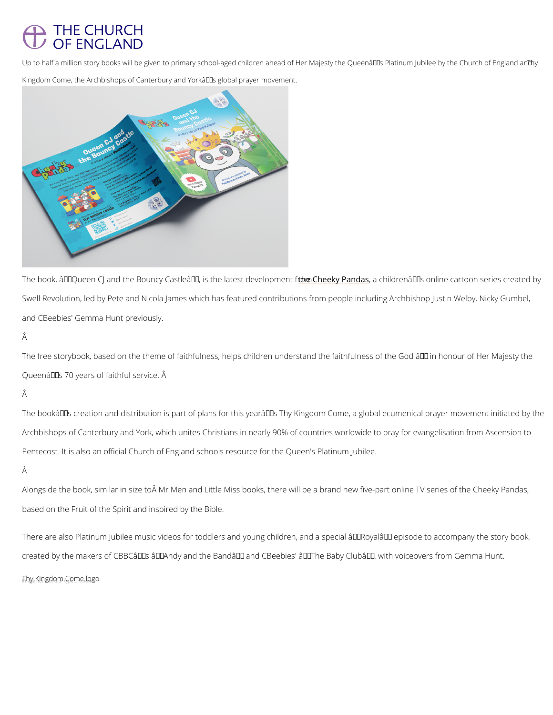# **THE CHURCH** OF ENGLAND

Up to half a million story books will be given to primary school-aged children ahead of Her Majesty The C Kingdom Come, the Archbishops of Canterbury and York's global prayer movement.

The book, â€~Queen CJ and the Bouncy Castleâ€t™e iCshteheeky a.P.,easntddanei lvderloopmânn€e™nts for onlmine cartoon Swell Revolution, led by Pete and Nicola James which has featured contributions from people and CBeebies' Gemma Hunt previously.

## Â

The free storybook, based on the theme of faithfulness, helps children understand the faithfu Queen $\hat{a} \in \mathbb{M}$ s 70 years of faithful service.  $\hat{A}$ 

# Â

The bookâ $\in$ ™s creation and distribution is part of plans for this yearâ $\in$ ™s Thy Kingdom Com Archbishops of Canterbury and York, which unites Christians in nearly 90% of countries world Pentecost. It is also an official Church of England schools resource for the Queen's Platinum Â

Alongside the book, similar in size to ÅMr Men and Little Miss books, there will be a brand n based on the Fruit of the Spirit and inspired by the Bible.

There are also Platinum Jubilee music videos for toddlers and young children, and a special

created by the makers of CBBC's â€~Andy and the Band' and CBeebies' â€~The Baby (

 $T_n$ by Kingdom  $C_0$ om<sub>nen</sub>logo